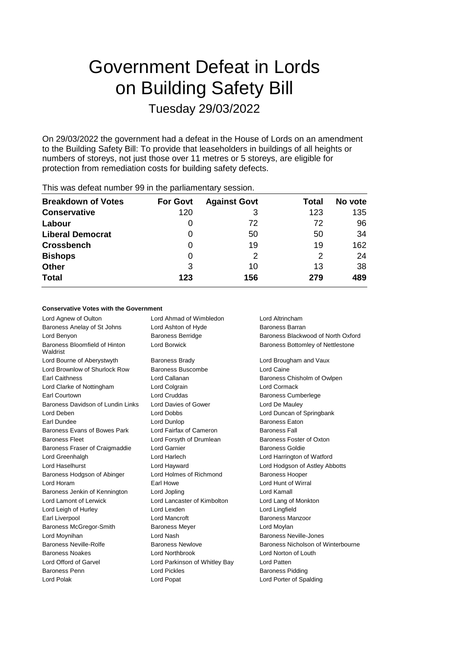# Government Defeat in Lords on Building Safety Bill Tuesday 29/03/2022

On 29/03/2022 the government had a defeat in the House of Lords on an amendment to the Building Safety Bill: To provide that leaseholders in buildings of all heights or numbers of storeys, not just those over 11 metres or 5 storeys, are eligible for protection from remediation costs for building safety defects.

| <b>Breakdown of Votes</b> | <b>For Govt</b> | <b>Against Govt</b> | Total | No vote |
|---------------------------|-----------------|---------------------|-------|---------|
| <b>Conservative</b>       | 120             | З                   | 123   | 135     |
| Labour                    | O               | 72                  | 72    | 96      |
| <b>Liberal Democrat</b>   | O               | 50                  | 50    | 34      |
| <b>Crossbench</b>         | O               | 19                  | 19    | 162     |
| <b>Bishops</b>            | 0               | 2                   | 2     | 24      |
| <b>Other</b>              | 3               | 10                  | 13    | 38      |
| <b>Total</b>              | 123             | 156                 | 279   | 489     |
|                           |                 |                     |       |         |

# This was defeat number 99 in the parliamentary session.

### **Conservative Votes with the Government**

Lord Agnew of Oulton Lord Ahmad of Wimbledon Lord Altrincham Baroness Anelay of St Johns Lord Ashton of Hyde Baroness Barran Baroness Bloomfield of Hinton Waldrist Lord Bourne of Aberystwyth Baroness Brady Baroness Brady Lord Brougham and Vaux Lord Brownlow of Shurlock Row Baroness Buscombe Lord Caine Earl Caithness **Lord Callanan Baroness Chisholm of Owlpen Baroness Chisholm of Owlpen** Lord Clarke of Nottingham Lord Colgrain Lord Cormack Earl Courtown Lord Cruddas Baroness Cumberlege Baroness Davidson of Lundin Links Lord Davies of Gower Lord De Mauley Lord Deben Lord Dobbs Lord Duncan of Springbank Earl Dundee Lord Dunlop Baroness Eaton Baroness Evans of Bowes Park Lord Fairfax of Cameron Baroness Fall Baroness Fleet Lord Forsyth of Drumlean Baroness Foster of Oxton Baroness Fraser of Craigmaddie Lord Garnier **Baroness Goldie** Baroness Goldie Lord Greenhalgh Lord Harlech Lord Harrington of Watford Lord Haselhurst Lord Hayward Lord Hodgson of Astley Abbotts Baroness Hodgson of Abinger Lord Holmes of Richmond Baroness Hooper Lord Horam Earl Howe Lord Hunt of Wirral Baroness Jenkin of Kennington Lord Jopling Lord Kamall Lord Lamont of Lerwick Lord Lancaster of Kimbolton Lord Lang of Monkton Lord Leigh of Hurley **Lord Lexden** Lord Lexden **Lord Lord Lingfield** Earl Liverpool **Early Lord Mancroft** Baroness Manzoor Baroness McGregor-Smith Baroness Meyer **Lord Moylan** Lord Moynihan **Lord Nash** Baroness Neville-Jones Baroness Noakes Lord Northbrook Lord Norton of Louth Lord Offord of Garvel Lord Parkinson of Whitley Bay Lord Patten Baroness Penn **Baroness Pickles** Lord Pickles **Baroness Pidding** Baroness Pidding Lord Polak Lord Popat Lord Porter of Spalding

Lord Benyon Baroness Berridge Baroness Blackwood of North Oxford Lord Borwick **Baroness Bottomley of Nettlestone** Baroness Neville-Rolfe Baroness Newlove Baroness Nicholson of Winterbourne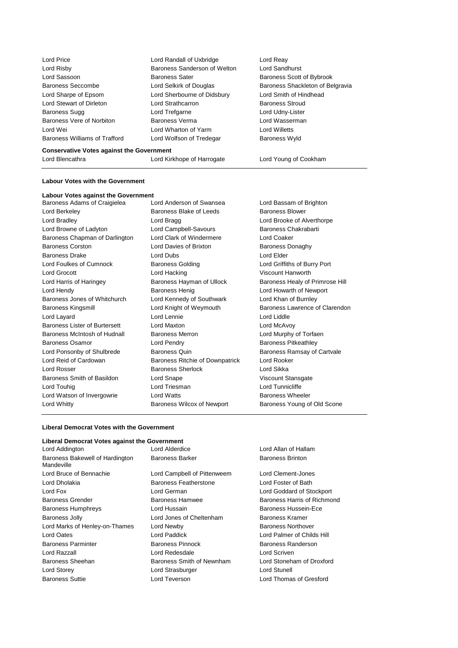| Lord Price                    | Lord Randall of Uxbridge     |
|-------------------------------|------------------------------|
| Lord Risby                    | Baroness Sanderson of Weltor |
| Lord Sassoon                  | <b>Baroness Sater</b>        |
| Baroness Seccombe             | Lord Selkirk of Douglas      |
| Lord Sharpe of Epsom          | Lord Sherbourne of Didsbury  |
| Lord Stewart of Dirleton      | Lord Strathcarron            |
| Baroness Sugg                 | Lord Trefgarne               |
| Baroness Vere of Norbiton     | Baroness Verma               |
| Lord Wei                      | Lord Wharton of Yarm         |
| Baroness Williams of Trafford | Lord Wolfson of Tredegar     |
|                               |                              |

Lord Reay n Lord Sandhurst Baroness Scott of Bybrook Baroness Shackleton of Belgravia Lord Smith of Hindhead Baroness Stroud Lord Udny-Lister Lord Wasserman Lord Willetts Baroness Wyld

#### **Conservative Votes against the Government**

Lord Blencathra Lord Kirkhope of Harrogate Lord Young of Cookham

## **Labour Votes with the Government**

# **Labour Votes against the Government**

| Baroness Adams of Craigielea         | Lord Anderson of Swansea               | Lord Bassa          |
|--------------------------------------|----------------------------------------|---------------------|
| Lord Berkeley                        | Baroness Blake of Leeds                | <b>Baroness B</b>   |
| Lord Bradley                         | Lord Bragg                             | Lord Brook          |
| Lord Browne of Ladyton               | Lord Campbell-Savours                  | Baroness 0          |
| Baroness Chapman of Darlington       | Lord Clark of Windermere               | Lord Coake          |
| <b>Baroness Corston</b>              | Lord Davies of Brixton                 | <b>Baroness I</b>   |
| <b>Baroness Drake</b>                | Lord Dubs                              | Lord Elder          |
| Lord Foulkes of Cumnock              | <b>Baroness Golding</b>                | <b>Lord Griffit</b> |
| Lord Grocott                         | Lord Hacking                           | Viscount H          |
| Lord Harris of Haringey              | Baroness Hayman of Ullock              | Baroness I          |
| Lord Hendy                           | <b>Baroness Henig</b>                  | Lord Howa           |
| Baroness Jones of Whitchurch         | Lord Kennedy of Southwark              | Lord Khan           |
| <b>Baroness Kingsmill</b>            | Lord Knight of Weymouth                | Baroness I          |
| Lord Layard                          | Lord Lennie                            | Lord Liddle         |
| <b>Baroness Lister of Burtersett</b> | Lord Maxton                            | Lord McAv           |
| Baroness McIntosh of Hudnall         | <b>Baroness Merron</b>                 | Lord Murph          |
| Baroness Osamor                      | Lord Pendry                            | Baroness F          |
| Lord Ponsonby of Shulbrede           | <b>Baroness Quin</b>                   | Baroness F          |
| Lord Reid of Cardowan                | <b>Baroness Ritchie of Downpatrick</b> | Lord Rook           |
| Lord Rosser                          | <b>Baroness Sherlock</b>               | Lord Sikka          |
| Baroness Smith of Basildon           | Lord Snape                             | Viscount S          |
| Lord Touhig                          | Lord Triesman                          | Lord Tunni          |
| Lord Watson of Invergowrie           | <b>Lord Watts</b>                      | Baroness \          |
| Lord Whitty                          | Baroness Wilcox of Newport             | Baroness \          |
|                                      |                                        |                     |

Baroness Blake of Leeds Baroness Blower Lord Bragg Lord Brooke of Alverthorpe Lord Campbell-Savours Baroness Chakrabarti Lord Clark of Windermere Lord Coaker Lord Davies of Brixton Baroness Donaghy Baroness Golding **Lord Griffiths of Burry Port** Lord Hacking **Viscount Hanworth** Baroness Henig **Baroness Henig** Lord Howarth of Newport Lord Kennedy of Southwark Lord Khan of Burnley Lord Lennie Lord Liddle Lord Maxton **Lord McAvoy** Baroness Merron **Example 2** Lord Murphy of Torfaen Lord Pendry **Baroness Pitkeathley** Baroness Quin **Baroness Ramsay of Cartvale** Baroness Ritchie of Downpatrick Lord Rooker Baroness Sherlock Lord Sikka Lord Snape Viscount Stansgate Lord Triesman Lord Tunnicliffe Lord Watts **Example 20** Baroness Wheeler

Lord Bassam of Brighton Baroness Hayman of Ullock Baroness Healy of Primrose Hill Lord Knight of Weymouth Baroness Lawrence of Clarendon Baroness Wilcox of Newport Baroness Young of Old Scone

# **Liberal Democrat Votes with the Government**

| Liberal Democrat Votes against the Government |                              |                             |
|-----------------------------------------------|------------------------------|-----------------------------|
| Lord Addington                                | Lord Alderdice               | Lord Allan of Hallam        |
| Baroness Bakewell of Hardington<br>Mandeville | <b>Baroness Barker</b>       | <b>Baroness Brinton</b>     |
| Lord Bruce of Bennachie                       | Lord Campbell of Pittenweem  | Lord Clement-Jones          |
| Lord Dholakia                                 | <b>Baroness Featherstone</b> | Lord Foster of Bath         |
| Lord Fox                                      | Lord German                  | Lord Goddard of Stockport   |
| <b>Baroness Grender</b>                       | <b>Baroness Hamwee</b>       | Baroness Harris of Richmond |
| <b>Baroness Humphreys</b>                     | Lord Hussain                 | Baroness Hussein-Ece        |
| <b>Baroness Jolly</b>                         | Lord Jones of Cheltenham     | Baroness Kramer             |
| Lord Marks of Henley-on-Thames                | Lord Newby                   | <b>Baroness Northover</b>   |
| Lord Oates                                    | Lord Paddick                 | Lord Palmer of Childs Hill  |
| <b>Baroness Parminter</b>                     | <b>Baroness Pinnock</b>      | Baroness Randerson          |
| Lord Razzall                                  | Lord Redesdale               | Lord Scriven                |
| Baroness Sheehan                              | Baroness Smith of Newnham    | Lord Stoneham of Droxford   |
| Lord Storey                                   | Lord Strasburger             | Lord Stunell                |
| <b>Baroness Suttie</b>                        | Lord Teverson                | Lord Thomas of Gresford     |